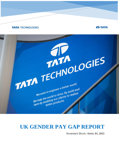# **TATA TECHNOLOGIES**



# **UK GENDER PAY GAP REPORT**

TATA TECHNOLOGIES

We exist to engineer a better world.<br>We exist to engineer a better world.<br>We exist to engineer a better world and

We exist to engineer a better<br>We help the world to drive, fly, build and<br>We help the world to drive, fly, build and<br>We help the world to drive, the products. We exist to englies<br>we help the world to drive, fly, build and<br>we help the world to drive, fly, build and<br>we help the world to drive, to realise

**SNAPSHOT DATE: APRIL 01, 2021**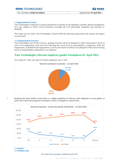| <b>TATA TECHNOLOGIES</b>        |                              |
|---------------------------------|------------------------------|
| Doc. No/Name: Gender Pay Report | Snapshot Date: 01 April 2021 |

## **1. Organisational Context**

Tata Technologies Limited has a strong commitment to equality for all regardless of gender, gender reassignment, race, age, religion or belief, sexual orientation, marriage and civil partnership, pregnancy and maternity or disability.

This report sets out where Tata Technologies Limited fulfils the reporting requirements and analyses the figures in more detail.

### **1.1 Organisational structure**

Tata Technologies uses Work Levels (ie., grading structure) which are designed to reflect representative levels of work in the organisation, with each level reflecting the current level of responsibilities, competency, skills and requirements, as defined by the organisation, as well as the manner in which it can adequately reflect the increasing levels of responsibilities undertaken by an employee.

# **Tata Technologies relevant employee gender breakdown 01 April 2021**



As of April 01<sup>st</sup> 2021, the ratio for Female employees was 11.32%

Breaking this down further reveals there is a higher proportion of relevant male employees in most grades. at junior level where the proportion of females is more as compared to senior levels.



**2.1 Ordinary pay**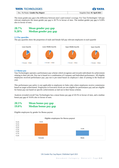| <b>TATA TECHNOLOGIES</b>        |  | <b>JO TATA</b>               |  |
|---------------------------------|--|------------------------------|--|
| Doc. No/Name: Gender Pay Report |  | Snapshot Date: 01 April 2021 |  |

The mean gender pay gap is the difference between men's and women's average. For Tata Technologies' full pay relevant employees the mean gender pay gap is 28.7% in favour of men. The median gender pay gap is 9.28% also in favour of men.

# **28.7% Mean gender pay gap 9.28% Median gender pay gap**

## **2.2 Pay quartiles**

The pay quartiles show the proportion of male and female full pay relevant employees in each quartile



## **2.3 Bonus pay**

Tata Technologies operates a performance pay scheme which recognises and rewards individuals for achievement relating to their job role. Pay-out is based on a combination of Company and Individual performance. All eligible employees received performance pay; pay-out is pro-rated based on employee's date of joining in the financial year.

This performance pay policy is not applicable to employees in Sales roles where employees receive commission based on target achievement. Employees in Executive levels are not eligible for performance pay and are eligible for bonus pay-out based on specific achievements as laid out in their bonus scheme.

Analysis revealed overall Tata Technologies has a mean bonus pay gap of 20.5% in favour of men, and a median bonus pay gap of 19.0% also in favour of men.

# **20.5% Mean bonus pay gap 19.0% Median bonus pay gap**

Eligible employees by gender for Bonus payout:



UK Gender Pay Gap Report | Published April 2021